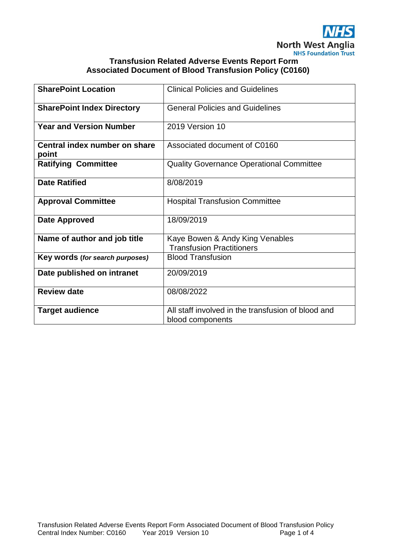

## **Transfusion Related Adverse Events Report Form Associated Document of Blood Transfusion Policy (C0160)**

| <b>SharePoint Location</b>             | <b>Clinical Policies and Guidelines</b>                                |
|----------------------------------------|------------------------------------------------------------------------|
| <b>SharePoint Index Directory</b>      | <b>General Policies and Guidelines</b>                                 |
| <b>Year and Version Number</b>         | 2019 Version 10                                                        |
| Central index number on share<br>point | Associated document of C0160                                           |
| <b>Ratifying Committee</b>             | <b>Quality Governance Operational Committee</b>                        |
| <b>Date Ratified</b>                   | 8/08/2019                                                              |
| <b>Approval Committee</b>              | <b>Hospital Transfusion Committee</b>                                  |
| Date Approved                          | 18/09/2019                                                             |
| Name of author and job title           | Kaye Bowen & Andy King Venables<br><b>Transfusion Practitioners</b>    |
| Key words (for search purposes)        | <b>Blood Transfusion</b>                                               |
| Date published on intranet             | 20/09/2019                                                             |
| <b>Review date</b>                     | 08/08/2022                                                             |
| <b>Target audience</b>                 | All staff involved in the transfusion of blood and<br>blood components |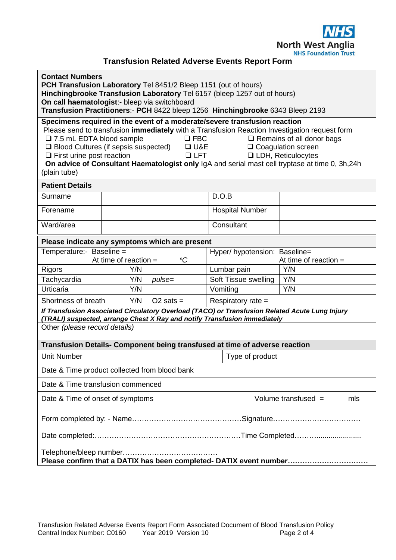

## **North West Anglia**<br>**Transfusion Related Adverse Events Report Form**

| <b>Contact Numbers</b><br><b>PCH Transfusion Laboratory</b> Tel 8451/2 Bleep 1151 (out of hours)<br>Hinchingbrooke Transfusion Laboratory Tel 6157 (bleep 1257 out of hours)<br>On call haematologist:- bleep via switchboard<br>Transfusion Practitioners:- PCH 8422 bleep 1256 Hinchingbrooke 6343 Bleep 2193                                                                                                                                                                                                                                    |                 |                                                                             |                      |                               |                            |  |
|----------------------------------------------------------------------------------------------------------------------------------------------------------------------------------------------------------------------------------------------------------------------------------------------------------------------------------------------------------------------------------------------------------------------------------------------------------------------------------------------------------------------------------------------------|-----------------|-----------------------------------------------------------------------------|----------------------|-------------------------------|----------------------------|--|
| Specimens required in the event of a moderate/severe transfusion reaction<br>Please send to transfusion immediately with a Transfusion Reaction Investigation request form<br>□ 7.5 mL EDTA blood sample<br>$\square$ FBC<br>$\Box$ Remains of all donor bags<br>$\Box$ Blood Cultures (if sepsis suspected) $\Box$ U&E<br>□ Coagulation screen<br>$\Box$ LFT<br><b>Q LDH, Reticulocytes</b><br>$\Box$ First urine post reaction<br>On advice of Consultant Haematologist only IgA and serial mast cell tryptase at time 0, 3h,24h<br>(plain tube) |                 |                                                                             |                      |                               |                            |  |
| <b>Patient Details</b>                                                                                                                                                                                                                                                                                                                                                                                                                                                                                                                             |                 |                                                                             |                      |                               |                            |  |
| Surname                                                                                                                                                                                                                                                                                                                                                                                                                                                                                                                                            |                 |                                                                             | D.O.B                |                               |                            |  |
| Forename                                                                                                                                                                                                                                                                                                                                                                                                                                                                                                                                           |                 |                                                                             |                      | <b>Hospital Number</b>        |                            |  |
| Ward/area                                                                                                                                                                                                                                                                                                                                                                                                                                                                                                                                          |                 |                                                                             |                      | Consultant                    |                            |  |
|                                                                                                                                                                                                                                                                                                                                                                                                                                                                                                                                                    |                 | Please indicate any symptoms which are present                              |                      |                               |                            |  |
| Temperature:- Baseline =                                                                                                                                                                                                                                                                                                                                                                                                                                                                                                                           |                 | ${}^oC$<br>At time of reaction $=$                                          |                      | Hyper/ hypotension: Baseline= | At time of reaction $=$    |  |
| <b>Rigors</b>                                                                                                                                                                                                                                                                                                                                                                                                                                                                                                                                      | Y/N             |                                                                             |                      | Lumbar pain                   | Y/N                        |  |
| Tachycardia                                                                                                                                                                                                                                                                                                                                                                                                                                                                                                                                        | Y/N<br>$pulse=$ |                                                                             | Soft Tissue swelling |                               | Y/N                        |  |
| Urticaria                                                                                                                                                                                                                                                                                                                                                                                                                                                                                                                                          | Y/N             |                                                                             |                      | Vomiting                      | Y/N                        |  |
| Y/N<br>Shortness of breath<br>$O2$ sats $=$                                                                                                                                                                                                                                                                                                                                                                                                                                                                                                        |                 |                                                                             | Respiratory rate =   |                               |                            |  |
| If Transfusion Associated Circulatory Overload (TACO) or Transfusion Related Acute Lung Injury<br>(TRALI) suspected, arrange Chest X Ray and notify Transfusion immediately                                                                                                                                                                                                                                                                                                                                                                        |                 |                                                                             |                      |                               |                            |  |
| Other (please record details)                                                                                                                                                                                                                                                                                                                                                                                                                                                                                                                      |                 |                                                                             |                      |                               |                            |  |
|                                                                                                                                                                                                                                                                                                                                                                                                                                                                                                                                                    |                 | Transfusion Details- Component being transfused at time of adverse reaction |                      |                               |                            |  |
| <b>Unit Number</b>                                                                                                                                                                                                                                                                                                                                                                                                                                                                                                                                 |                 |                                                                             | Type of product      |                               |                            |  |
| Date & Time product collected from blood bank                                                                                                                                                                                                                                                                                                                                                                                                                                                                                                      |                 |                                                                             |                      |                               |                            |  |
| Date & Time transfusion commenced                                                                                                                                                                                                                                                                                                                                                                                                                                                                                                                  |                 |                                                                             |                      |                               |                            |  |
| Date & Time of onset of symptoms                                                                                                                                                                                                                                                                                                                                                                                                                                                                                                                   |                 |                                                                             |                      |                               | Volume transfused =<br>mls |  |
|                                                                                                                                                                                                                                                                                                                                                                                                                                                                                                                                                    |                 |                                                                             |                      |                               |                            |  |
|                                                                                                                                                                                                                                                                                                                                                                                                                                                                                                                                                    |                 |                                                                             |                      |                               |                            |  |
| Please confirm that a DATIX has been completed- DATIX event number                                                                                                                                                                                                                                                                                                                                                                                                                                                                                 |                 |                                                                             |                      |                               |                            |  |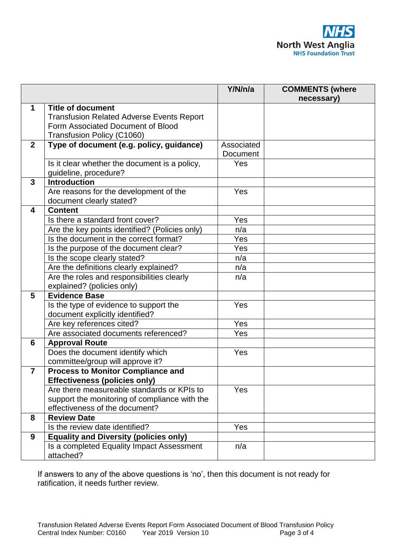

|                |                                                        | Y/N/n/a         | <b>COMMENTS (where</b> |
|----------------|--------------------------------------------------------|-----------------|------------------------|
|                |                                                        |                 | necessary)             |
| 1              | <b>Title of document</b>                               |                 |                        |
|                | <b>Transfusion Related Adverse Events Report</b>       |                 |                        |
|                | Form Associated Document of Blood                      |                 |                        |
|                | Transfusion Policy (C1060)                             |                 |                        |
| $\mathbf{2}$   | Type of document (e.g. policy, guidance)               | Associated      |                        |
|                |                                                        | <b>Document</b> |                        |
|                | Is it clear whether the document is a policy,          | Yes             |                        |
|                | guideline, procedure?                                  |                 |                        |
| 3              | <b>Introduction</b>                                    |                 |                        |
|                | Are reasons for the development of the                 | Yes             |                        |
|                | document clearly stated?                               |                 |                        |
| 4              | <b>Content</b>                                         |                 |                        |
|                | Is there a standard front cover?                       | Yes             |                        |
|                | Are the key points identified? (Policies only)         | n/a             |                        |
|                | Is the document in the correct format?                 | Yes             |                        |
|                | Is the purpose of the document clear?                  | Yes             |                        |
|                | Is the scope clearly stated?                           | n/a             |                        |
|                | Are the definitions clearly explained?                 | n/a             |                        |
|                | Are the roles and responsibilities clearly             | n/a             |                        |
|                | explained? (policies only)                             |                 |                        |
| 5              | <b>Evidence Base</b>                                   |                 |                        |
|                | Is the type of evidence to support the                 | Yes             |                        |
|                | document explicitly identified?                        |                 |                        |
|                | Are key references cited?                              | Yes             |                        |
|                | Are associated documents referenced?                   | Yes             |                        |
| 6              | <b>Approval Route</b>                                  |                 |                        |
|                | Does the document identify which                       | Yes             |                        |
|                | committee/group will approve it?                       |                 |                        |
| $\overline{7}$ | <b>Process to Monitor Compliance and</b>               |                 |                        |
|                | <b>Effectiveness (policies only)</b>                   |                 |                        |
|                | Are there measureable standards or KPIs to             | Yes             |                        |
|                | support the monitoring of compliance with the          |                 |                        |
|                | effectiveness of the document?                         |                 |                        |
| 8              | <b>Review Date</b>                                     |                 |                        |
|                | Is the review date identified?                         | Yes             |                        |
| 9              | <b>Equality and Diversity (policies only)</b>          |                 |                        |
|                | Is a completed Equality Impact Assessment<br>attached? | n/a             |                        |

If answers to any of the above questions is 'no', then this document is not ready for ratification, it needs further review.